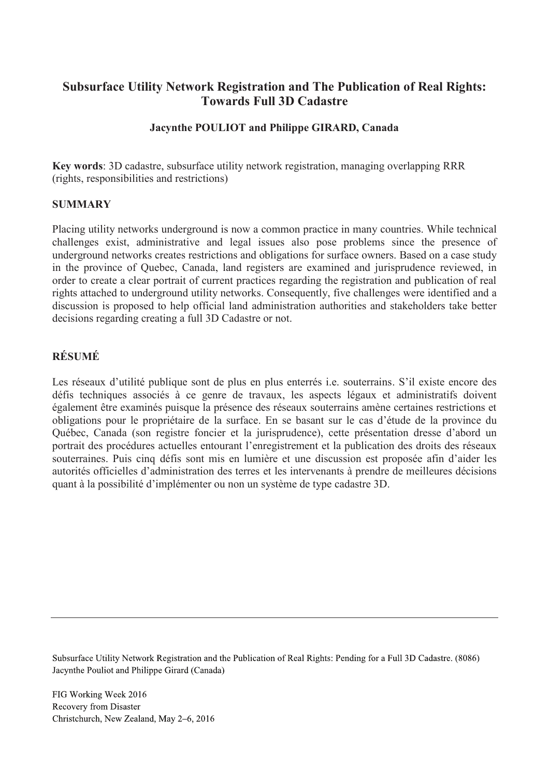# **Subsurface Utility Network Registration and The Publication of Real Rights: Towards Full 3D Cadastre**

## **Jacynthe POULIOT and Philippe GIRARD, Canada**

**Key words**: 3D cadastre, subsurface utility network registration, managing overlapping RRR (rights, responsibilities and restrictions)

### **SUMMARY**

Placing utility networks underground is now a common practice in many countries. While technical challenges exist, administrative and legal issues also pose problems since the presence of underground networks creates restrictions and obligations for surface owners. Based on a case study in the province of Quebec, Canada, land registers are examined and jurisprudence reviewed, in order to create a clear portrait of current practices regarding the registration and publication of real rights attached to underground utility networks. Consequently, five challenges were identified and a discussion is proposed to help official land administration authorities and stakeholders take better decisions regarding creating a full 3D Cadastre or not.

## **RÉSUMÉ**

Les réseaux d'utilité publique sont de plus en plus enterrés i.e. souterrains. S'il existe encore des défis techniques associés à ce genre de travaux, les aspects légaux et administratifs doivent également être examinés puisque la présence des réseaux souterrains amène certaines restrictions et obligations pour le propriétaire de la surface. En se basant sur le cas d'étude de la province du Québec, Canada (son registre foncier et la jurisprudence), cette présentation dresse d'abord un portrait des procédures actuelles entourant l'enregistrement et la publication des droits des réseaux souterraines. Puis cinq défis sont mis en lumière et une discussion est proposée afin d'aider les autorités officielles d'administration des terres et les intervenants à prendre de meilleures décisions quant à la possibilité d'implémenter ou non un système de type cadastre 3D.

Subsurface Utility Network Registration and the Publication of Real Rights: Pending for a Full 3D Cadastre. (8086) Jacynthe Pouliot and Philippe Girard (Canada)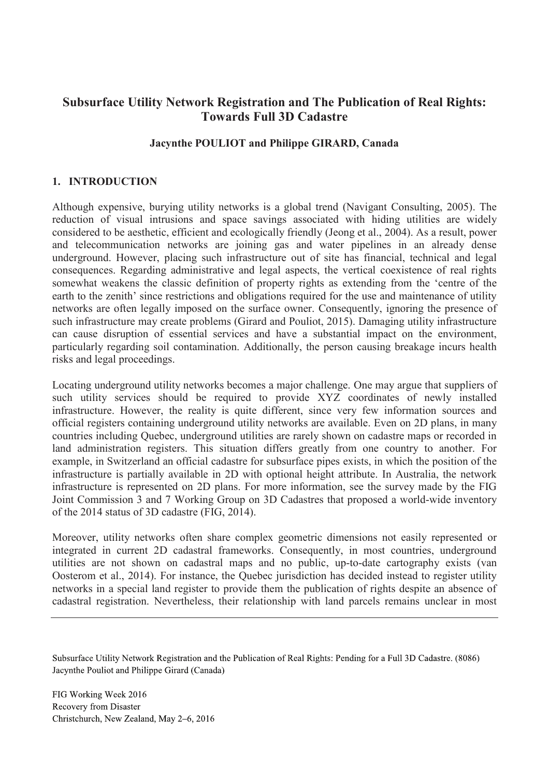# **Subsurface Utility Network Registration and The Publication of Real Rights: Towards Full 3D Cadastre**

### **Jacynthe POULIOT and Philippe GIRARD, Canada**

#### **1. INTRODUCTION**

Although expensive, burying utility networks is a global trend (Navigant Consulting, 2005). The reduction of visual intrusions and space savings associated with hiding utilities are widely considered to be aesthetic, efficient and ecologically friendly (Jeong et al., 2004). As a result, power and telecommunication networks are joining gas and water pipelines in an already dense underground. However, placing such infrastructure out of site has financial, technical and legal consequences. Regarding administrative and legal aspects, the vertical coexistence of real rights somewhat weakens the classic definition of property rights as extending from the 'centre of the earth to the zenith' since restrictions and obligations required for the use and maintenance of utility networks are often legally imposed on the surface owner. Consequently, ignoring the presence of such infrastructure may create problems (Girard and Pouliot, 2015). Damaging utility infrastructure can cause disruption of essential services and have a substantial impact on the environment, particularly regarding soil contamination. Additionally, the person causing breakage incurs health risks and legal proceedings.

Locating underground utility networks becomes a major challenge. One may argue that suppliers of such utility services should be required to provide XYZ coordinates of newly installed infrastructure. However, the reality is quite different, since very few information sources and official registers containing underground utility networks are available. Even on 2D plans, in many countries including Quebec, underground utilities are rarely shown on cadastre maps or recorded in land administration registers. This situation differs greatly from one country to another. For example, in Switzerland an official cadastre for subsurface pipes exists, in which the position of the infrastructure is partially available in 2D with optional height attribute. In Australia, the network infrastructure is represented on 2D plans. For more information, see the survey made by the FIG Joint Commission 3 and 7 Working Group on 3D Cadastres that proposed a world-wide inventory of the 2014 status of 3D cadastre (FIG, 2014).

Moreover, utility networks often share complex geometric dimensions not easily represented or integrated in current 2D cadastral frameworks. Consequently, in most countries, underground utilities are not shown on cadastral maps and no public, up-to-date cartography exists (van Oosterom et al., 2014). For instance, the Quebec jurisdiction has decided instead to register utility networks in a special land register to provide them the publication of rights despite an absence of cadastral registration. Nevertheless, their relationship with land parcels remains unclear in most

Subsurface Utility Network Registration and the Publication of Real Rights: Pending for a Full 3D Cadastre. (8086) Jacynthe Pouliot and Philippe Girard (Canada)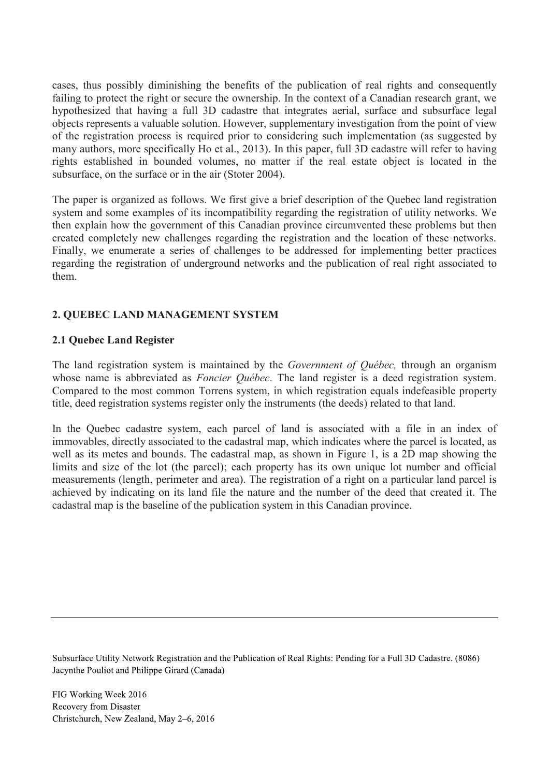cases, thus possibly diminishing the benefits of the publication of real rights and consequently failing to protect the right or secure the ownership. In the context of a Canadian research grant, we hypothesized that having a full 3D cadastre that integrates aerial, surface and subsurface legal objects represents a valuable solution. However, supplementary investigation from the point of view of the registration process is required prior to considering such implementation (as suggested by many authors, more specifically Ho et al., 2013). In this paper, full 3D cadastre will refer to having rights established in bounded volumes, no matter if the real estate object is located in the subsurface, on the surface or in the air (Stoter 2004).

The paper is organized as follows. We first give a brief description of the Quebec land registration system and some examples of its incompatibility regarding the registration of utility networks. We then explain how the government of this Canadian province circumvented these problems but then created completely new challenges regarding the registration and the location of these networks. Finally, we enumerate a series of challenges to be addressed for implementing better practices regarding the registration of underground networks and the publication of real right associated to them.

## **2. QUEBEC LAND MANAGEMENT SYSTEM**

### **2.1 Quebec Land Register**

The land registration system is maintained by the *Government of Québec,* through an organism whose name is abbreviated as *Foncier Québec*. The land register is a deed registration system. Compared to the most common Torrens system, in which registration equals indefeasible property title, deed registration systems register only the instruments (the deeds) related to that land.

In the Quebec cadastre system, each parcel of land is associated with a file in an index of immovables, directly associated to the cadastral map, which indicates where the parcel is located, as well as its metes and bounds. The cadastral map, as shown in Figure 1, is a 2D map showing the limits and size of the lot (the parcel); each property has its own unique lot number and official measurements (length, perimeter and area). The registration of a right on a particular land parcel is achieved by indicating on its land file the nature and the number of the deed that created it. The cadastral map is the baseline of the publication system in this Canadian province.

Subsurface Utility Network Registration and the Publication of Real Rights: Pending for a Full 3D Cadastre. (8086) Jacynthe Pouliot and Philippe Girard (Canada)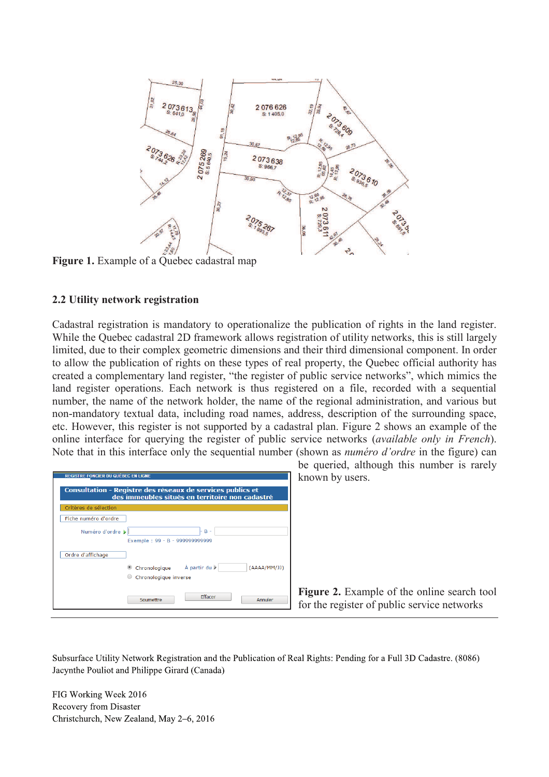

**Figure 1.** Example of a Quebec cadastral map

### **2.2 Utility network registration**

Cadastral registration is mandatory to operationalize the publication of rights in the land register. While the Quebec cadastral 2D framework allows registration of utility networks, this is still largely limited, due to their complex geometric dimensions and their third dimensional component. In order to allow the publication of rights on these types of real property, the Quebec official authority has created a complementary land register, "the register of public service networks", which mimics the land register operations. Each network is thus registered on a file, recorded with a sequential number, the name of the network holder, the name of the regional administration, and various but non-mandatory textual data, including road names, address, description of the surrounding space, etc. However, this register is not supported by a cadastral plan. Figure 2 shows an example of the online interface for querying the register of public service networks (*available only in French*). Note that in this interface only the sequential number (shown as *numéro d'ordre* in the figure) can

| <b>REGISTRE FONCIER DU QUÉBEC EN LIGNE</b><br>Consultation - Registre des réseaux de services publics et<br>des immeubles situés en territoire non cadastré |                                                                    |
|-------------------------------------------------------------------------------------------------------------------------------------------------------------|--------------------------------------------------------------------|
| Critères de sélection                                                                                                                                       |                                                                    |
| Fiche numéro d'ordre                                                                                                                                        |                                                                    |
| Numéro d'ordre »                                                                                                                                            | $B -$<br>Exemple: 99 - B - 999999999999                            |
| Ordre d'affichage                                                                                                                                           |                                                                    |
|                                                                                                                                                             | Chronologique À partir du<br>(AAAA/MM/JJ)<br>Chronologique inverse |
|                                                                                                                                                             | Effacer<br>Soumettre<br>Annuler                                    |

be queried, although this number is rarely known by users.

**Figure 2.** Example of the online search tool for the register of public service networks

Subsurface Utility Network Registration and the Publication of Real Rights: Pending for a Full 3D Cadastre. (8086) Jacynthe Pouliot and Philippe Girard (Canada)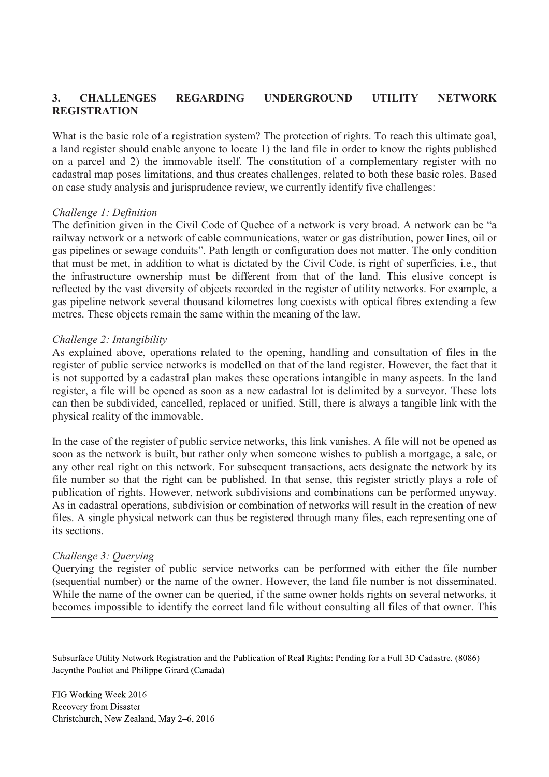## **3. CHALLENGES REGARDING UNDERGROUND UTILITY NETWORK REGISTRATION**

What is the basic role of a registration system? The protection of rights. To reach this ultimate goal, a land register should enable anyone to locate 1) the land file in order to know the rights published on a parcel and 2) the immovable itself. The constitution of a complementary register with no cadastral map poses limitations, and thus creates challenges, related to both these basic roles. Based on case study analysis and jurisprudence review, we currently identify five challenges:

#### *Challenge 1: Definition*

The definition given in the Civil Code of Quebec of a network is very broad. A network can be "a railway network or a network of cable communications, water or gas distribution, power lines, oil or gas pipelines or sewage conduits". Path length or configuration does not matter. The only condition that must be met, in addition to what is dictated by the Civil Code, is right of superficies, i.e., that the infrastructure ownership must be different from that of the land. This elusive concept is reflected by the vast diversity of objects recorded in the register of utility networks. For example, a gas pipeline network several thousand kilometres long coexists with optical fibres extending a few metres. These objects remain the same within the meaning of the law.

#### *Challenge 2: Intangibility*

As explained above, operations related to the opening, handling and consultation of files in the register of public service networks is modelled on that of the land register. However, the fact that it is not supported by a cadastral plan makes these operations intangible in many aspects. In the land register, a file will be opened as soon as a new cadastral lot is delimited by a surveyor. These lots can then be subdivided, cancelled, replaced or unified. Still, there is always a tangible link with the physical reality of the immovable.

In the case of the register of public service networks, this link vanishes. A file will not be opened as soon as the network is built, but rather only when someone wishes to publish a mortgage, a sale, or any other real right on this network. For subsequent transactions, acts designate the network by its file number so that the right can be published. In that sense, this register strictly plays a role of publication of rights. However, network subdivisions and combinations can be performed anyway. As in cadastral operations, subdivision or combination of networks will result in the creation of new files. A single physical network can thus be registered through many files, each representing one of its sections.

#### *Challenge 3: Querying*

Querying the register of public service networks can be performed with either the file number (sequential number) or the name of the owner. However, the land file number is not disseminated. While the name of the owner can be queried, if the same owner holds rights on several networks, it becomes impossible to identify the correct land file without consulting all files of that owner. This

Subsurface Utility Network Registration and the Publication of Real Rights: Pending for a Full 3D Cadastre. (8086) Jacynthe Pouliot and Philippe Girard (Canada)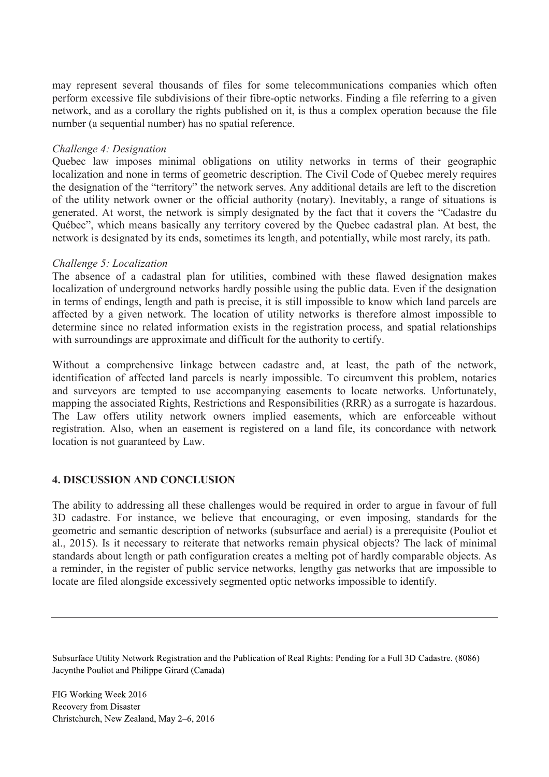may represent several thousands of files for some telecommunications companies which often perform excessive file subdivisions of their fibre-optic networks. Finding a file referring to a given network, and as a corollary the rights published on it, is thus a complex operation because the file number (a sequential number) has no spatial reference.

#### *Challenge 4: Designation*

Quebec law imposes minimal obligations on utility networks in terms of their geographic localization and none in terms of geometric description. The Civil Code of Quebec merely requires the designation of the "territory" the network serves. Any additional details are left to the discretion of the utility network owner or the official authority (notary). Inevitably, a range of situations is generated. At worst, the network is simply designated by the fact that it covers the "Cadastre du Québec", which means basically any territory covered by the Quebec cadastral plan. At best, the network is designated by its ends, sometimes its length, and potentially, while most rarely, its path.

### *Challenge 5: Localization*

The absence of a cadastral plan for utilities, combined with these flawed designation makes localization of underground networks hardly possible using the public data. Even if the designation in terms of endings, length and path is precise, it is still impossible to know which land parcels are affected by a given network. The location of utility networks is therefore almost impossible to determine since no related information exists in the registration process, and spatial relationships with surroundings are approximate and difficult for the authority to certify.

Without a comprehensive linkage between cadastre and, at least, the path of the network, identification of affected land parcels is nearly impossible. To circumvent this problem, notaries and surveyors are tempted to use accompanying easements to locate networks. Unfortunately, mapping the associated Rights, Restrictions and Responsibilities (RRR) as a surrogate is hazardous. The Law offers utility network owners implied easements, which are enforceable without registration. Also, when an easement is registered on a land file, its concordance with network location is not guaranteed by Law.

## **4. DISCUSSION AND CONCLUSION**

The ability to addressing all these challenges would be required in order to argue in favour of full 3D cadastre. For instance, we believe that encouraging, or even imposing, standards for the geometric and semantic description of networks (subsurface and aerial) is a prerequisite (Pouliot et al., 2015). Is it necessary to reiterate that networks remain physical objects? The lack of minimal standards about length or path configuration creates a melting pot of hardly comparable objects. As a reminder, in the register of public service networks, lengthy gas networks that are impossible to locate are filed alongside excessively segmented optic networks impossible to identify.

Subsurface Utility Network Registration and the Publication of Real Rights: Pending for a Full 3D Cadastre. (8086) Jacynthe Pouliot and Philippe Girard (Canada)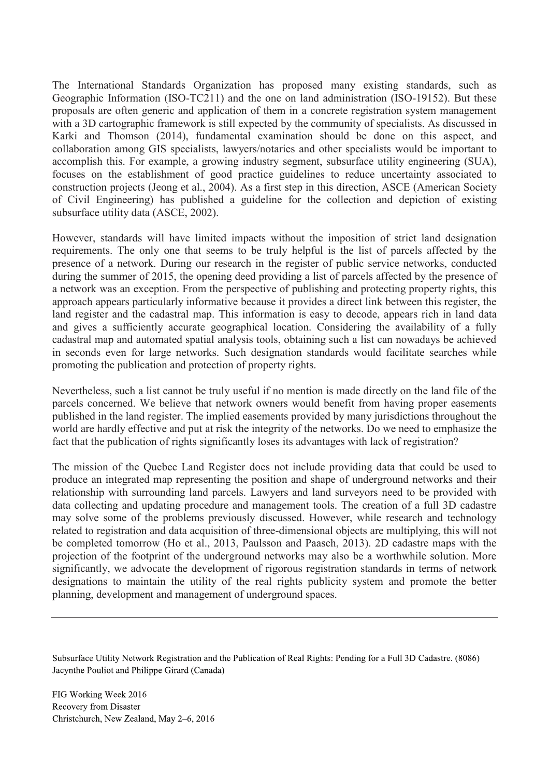The International Standards Organization has proposed many existing standards, such as Geographic Information (ISO-TC211) and the one on land administration (ISO-19152). But these proposals are often generic and application of them in a concrete registration system management with a 3D cartographic framework is still expected by the community of specialists. As discussed in Karki and Thomson (2014), fundamental examination should be done on this aspect, and collaboration among GIS specialists, lawyers/notaries and other specialists would be important to accomplish this. For example, a growing industry segment, subsurface utility engineering (SUA), focuses on the establishment of good practice guidelines to reduce uncertainty associated to construction projects (Jeong et al., 2004). As a first step in this direction, ASCE (American Society of Civil Engineering) has published a guideline for the collection and depiction of existing subsurface utility data (ASCE, 2002).

However, standards will have limited impacts without the imposition of strict land designation requirements. The only one that seems to be truly helpful is the list of parcels affected by the presence of a network. During our research in the register of public service networks, conducted during the summer of 2015, the opening deed providing a list of parcels affected by the presence of a network was an exception. From the perspective of publishing and protecting property rights, this approach appears particularly informative because it provides a direct link between this register, the land register and the cadastral map. This information is easy to decode, appears rich in land data and gives a sufficiently accurate geographical location. Considering the availability of a fully cadastral map and automated spatial analysis tools, obtaining such a list can nowadays be achieved in seconds even for large networks. Such designation standards would facilitate searches while promoting the publication and protection of property rights.

Nevertheless, such a list cannot be truly useful if no mention is made directly on the land file of the parcels concerned. We believe that network owners would benefit from having proper easements published in the land register. The implied easements provided by many jurisdictions throughout the world are hardly effective and put at risk the integrity of the networks. Do we need to emphasize the fact that the publication of rights significantly loses its advantages with lack of registration?

The mission of the Quebec Land Register does not include providing data that could be used to produce an integrated map representing the position and shape of underground networks and their relationship with surrounding land parcels. Lawyers and land surveyors need to be provided with data collecting and updating procedure and management tools. The creation of a full 3D cadastre may solve some of the problems previously discussed. However, while research and technology related to registration and data acquisition of three-dimensional objects are multiplying, this will not be completed tomorrow (Ho et al., 2013, Paulsson and Paasch, 2013). 2D cadastre maps with the projection of the footprint of the underground networks may also be a worthwhile solution. More significantly, we advocate the development of rigorous registration standards in terms of network designations to maintain the utility of the real rights publicity system and promote the better planning, development and management of underground spaces.

Subsurface Utility Network Registration and the Publication of Real Rights: Pending for a Full 3D Cadastre. (8086) Jacynthe Pouliot and Philippe Girard (Canada)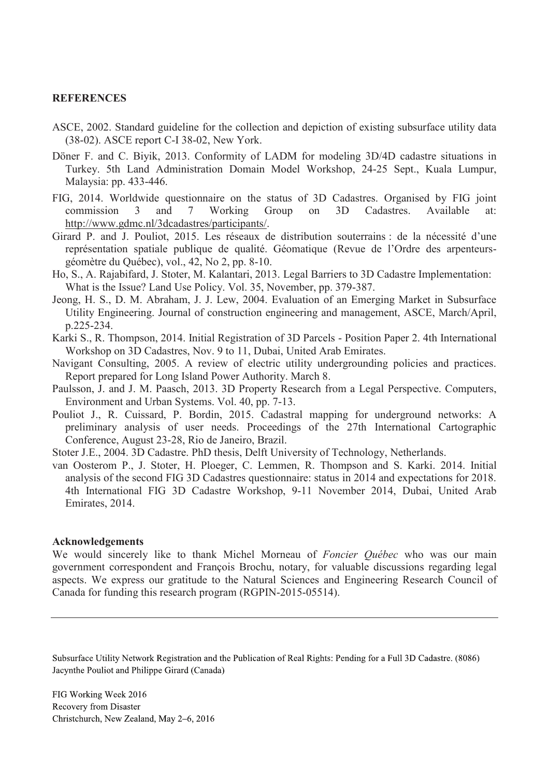#### **REFERENCES**

- ASCE, 2002. Standard guideline for the collection and depiction of existing subsurface utility data (38-02). ASCE report C-I 38-02, New York.
- Döner F. and C. Biyik, 2013. Conformity of LADM for modeling 3D/4D cadastre situations in Turkey. 5th Land Administration Domain Model Workshop, 24-25 Sept., Kuala Lumpur, Malaysia: pp. 433-446.
- FIG, 2014. Worldwide questionnaire on the status of 3D Cadastres. Organised by FIG joint commission 3 and 7 Working Group on 3D Cadastres. Available at: http://www.gdmc.nl/3dcadastres/participants/.
- Girard P. and J. Pouliot, 2015. Les réseaux de distribution souterrains : de la nécessité d'une représentation spatiale publique de qualité. Géomatique (Revue de l'Ordre des arpenteursgéomètre du Québec), vol., 42, No 2, pp. 8-10.
- Ho, S., A. Rajabifard, J. Stoter, M. Kalantari, 2013. Legal Barriers to 3D Cadastre Implementation: What is the Issue? Land Use Policy. Vol. 35, November, pp. 379-387.
- Jeong, H. S., D. M. Abraham, J. J. Lew, 2004. Evaluation of an Emerging Market in Subsurface Utility Engineering. Journal of construction engineering and management, ASCE, March/April, p.225-234.
- Karki S., R. Thompson, 2014. Initial Registration of 3D Parcels Position Paper 2. 4th International Workshop on 3D Cadastres, Nov. 9 to 11, Dubai, United Arab Emirates.
- Navigant Consulting, 2005. A review of electric utility undergrounding policies and practices. Report prepared for Long Island Power Authority. March 8.
- Paulsson, J. and J. M. Paasch, 2013. 3D Property Research from a Legal Perspective. Computers, Environment and Urban Systems. Vol. 40, pp. 7-13.
- Pouliot J., R. Cuissard, P. Bordin, 2015. Cadastral mapping for underground networks: A preliminary analysis of user needs. Proceedings of the 27th International Cartographic Conference, August 23-28, Rio de Janeiro, Brazil.

Stoter J.E., 2004. 3D Cadastre. PhD thesis, Delft University of Technology, Netherlands.

van Oosterom P., J. Stoter, H. Ploeger, C. Lemmen, R. Thompson and S. Karki. 2014. Initial analysis of the second FIG 3D Cadastres questionnaire: status in 2014 and expectations for 2018. 4th International FIG 3D Cadastre Workshop, 9-11 November 2014, Dubai, United Arab Emirates, 2014.

#### **Acknowledgements**

We would sincerely like to thank Michel Morneau of *Foncier Québec* who was our main government correspondent and François Brochu, notary, for valuable discussions regarding legal aspects. We express our gratitude to the Natural Sciences and Engineering Research Council of Canada for funding this research program (RGPIN-2015-05514).

Subsurface Utility Network Registration and the Publication of Real Rights: Pending for a Full 3D Cadastre. (8086) Jacynthe Pouliot and Philippe Girard (Canada)